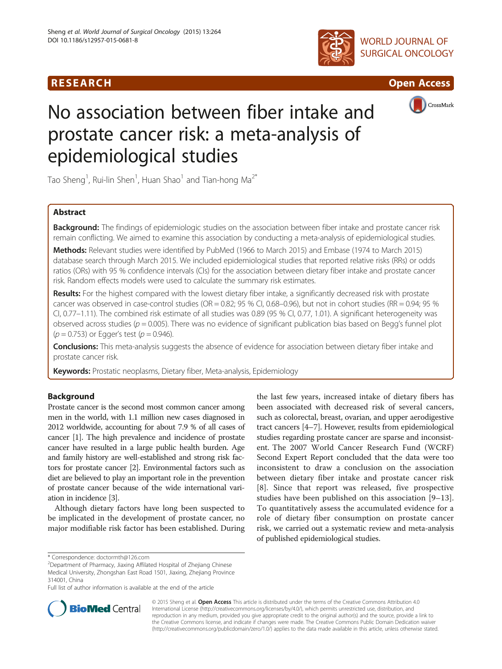# R E S EAR CH Open Access





CrossMark

# No association between fiber intake and prostate cancer risk: a meta-analysis of epidemiological studies

Tao Sheng<sup>1</sup>, Rui-lin Shen<sup>1</sup>, Huan Shao<sup>1</sup> and Tian-hong Ma<sup>2\*</sup>

# Abstract

Background: The findings of epidemiologic studies on the association between fiber intake and prostate cancer risk remain conflicting. We aimed to examine this association by conducting a meta-analysis of epidemiological studies.

Methods: Relevant studies were identified by PubMed (1966 to March 2015) and Embase (1974 to March 2015) database search through March 2015. We included epidemiological studies that reported relative risks (RRs) or odds ratios (ORs) with 95 % confidence intervals (CIs) for the association between dietary fiber intake and prostate cancer risk. Random effects models were used to calculate the summary risk estimates.

Results: For the highest compared with the lowest dietary fiber intake, a significantly decreased risk with prostate cancer was observed in case-control studies (OR = 0.82; 95 % CI, 0.68–0.96), but not in cohort studies (RR = 0.94; 95 % CI, 0.77–1.11). The combined risk estimate of all studies was 0.89 (95 % CI, 0.77, 1.01). A significant heterogeneity was observed across studies ( $p = 0.005$ ). There was no evidence of significant publication bias based on Begg's funnel plot  $(p = 0.753)$  or Egger's test  $(p = 0.946)$ .

Conclusions: This meta-analysis suggests the absence of evidence for association between dietary fiber intake and prostate cancer risk.

Keywords: Prostatic neoplasms, Dietary fiber, Meta-analysis, Epidemiology

# Background

Prostate cancer is the second most common cancer among men in the world, with 1.1 million new cases diagnosed in 2012 worldwide, accounting for about 7.9 % of all cases of cancer [\[1\]](#page-9-0). The high prevalence and incidence of prostate cancer have resulted in a large public health burden. Age and family history are well-established and strong risk factors for prostate cancer [\[2\]](#page-9-0). Environmental factors such as diet are believed to play an important role in the prevention of prostate cancer because of the wide international variation in incidence [\[3\]](#page-9-0).

Although dietary factors have long been suspected to be implicated in the development of prostate cancer, no major modifiable risk factor has been established. During the last few years, increased intake of dietary fibers has been associated with decreased risk of several cancers, such as colorectal, breast, ovarian, and upper aerodigestive tract cancers [\[4](#page-9-0)–[7](#page-9-0)]. However, results from epidemiological studies regarding prostate cancer are sparse and inconsistent. The 2007 World Cancer Research Fund (WCRF) Second Expert Report concluded that the data were too inconsistent to draw a conclusion on the association between dietary fiber intake and prostate cancer risk [[8](#page-9-0)]. Since that report was released, five prospective studies have been published on this association [[9](#page-9-0)–[13](#page-9-0)]. To quantitatively assess the accumulated evidence for a role of dietary fiber consumption on prostate cancer risk, we carried out a systematic review and meta-analysis of published epidemiological studies.

Full list of author information is available at the end of the article



© 2015 Sheng et al. Open Access This article is distributed under the terms of the Creative Commons Attribution 4.0 International License [\(http://creativecommons.org/licenses/by/4.0/](http://creativecommons.org/licenses/by/4.0/)), which permits unrestricted use, distribution, and reproduction in any medium, provided you give appropriate credit to the original author(s) and the source, provide a link to the Creative Commons license, and indicate if changes were made. The Creative Commons Public Domain Dedication waiver [\(http://creativecommons.org/publicdomain/zero/1.0/](http://creativecommons.org/publicdomain/zero/1.0/)) applies to the data made available in this article, unless otherwise stated.

<sup>\*</sup> Correspondence: [doctormth@126.com](mailto:doctormth@126.com) <sup>2</sup>

Department of Pharmacy, Jiaxing Affilated Hospital of Zhejiang Chinese Medical University, Zhongshan East Road 1501, Jiaxing, Zhejiang Province 314001, China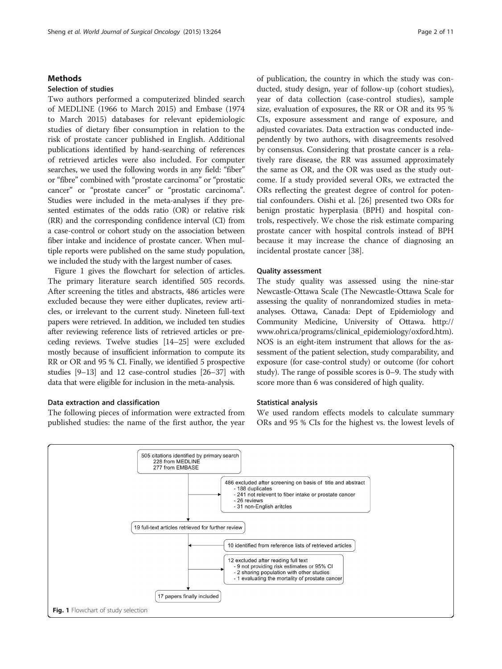## **Methods**

# Selection of studies

Two authors performed a computerized blinded search of MEDLINE (1966 to March 2015) and Embase (1974 to March 2015) databases for relevant epidemiologic studies of dietary fiber consumption in relation to the risk of prostate cancer published in English. Additional publications identified by hand-searching of references of retrieved articles were also included. For computer searches, we used the following words in any field: "fiber" or "fibre" combined with "prostate carcinoma" or "prostatic cancer" or "prostate cancer" or "prostatic carcinoma". Studies were included in the meta-analyses if they presented estimates of the odds ratio (OR) or relative risk (RR) and the corresponding confidence interval (CI) from a case-control or cohort study on the association between fiber intake and incidence of prostate cancer. When multiple reports were published on the same study population, we included the study with the largest number of cases.

Figure 1 gives the flowchart for selection of articles. The primary literature search identified 505 records. After screening the titles and abstracts, 486 articles were excluded because they were either duplicates, review articles, or irrelevant to the current study. Nineteen full-text papers were retrieved. In addition, we included ten studies after reviewing reference lists of retrieved articles or preceding reviews. Twelve studies [[14](#page-9-0)–[25](#page-10-0)] were excluded mostly because of insufficient information to compute its RR or OR and 95 % CI. Finally, we identified 5 prospective studies [[9](#page-9-0)–[13\]](#page-9-0) and 12 case-control studies [[26](#page-10-0)–[37](#page-10-0)] with data that were eligible for inclusion in the meta-analysis.

# Data extraction and classification

The following pieces of information were extracted from published studies: the name of the first author, the year

of publication, the country in which the study was conducted, study design, year of follow-up (cohort studies), year of data collection (case-control studies), sample size, evaluation of exposures, the RR or OR and its 95 % CIs, exposure assessment and range of exposure, and adjusted covariates. Data extraction was conducted independently by two authors, with disagreements resolved by consensus. Considering that prostate cancer is a relatively rare disease, the RR was assumed approximately the same as OR, and the OR was used as the study outcome. If a study provided several ORs, we extracted the ORs reflecting the greatest degree of control for potential confounders. Oishi et al. [\[26](#page-10-0)] presented two ORs for benign prostatic hyperplasia (BPH) and hospital controls, respectively. We chose the risk estimate comparing prostate cancer with hospital controls instead of BPH because it may increase the chance of diagnosing an incidental prostate cancer [[38](#page-10-0)].

## Quality assessment

The study quality was assessed using the nine-star Newcastle-Ottawa Scale (The Newcastle-Ottawa Scale for assessing the quality of nonrandomized studies in metaanalyses. Ottawa, Canada: Dept of Epidemiology and Community Medicine, University of Ottawa. [http://](http://www.ohri.ca/programs/clinical_epidemiology/oxford.htm) [www.ohri.ca/programs/clinical\\_epidemiology/oxford.htm\)](http://www.ohri.ca/programs/clinical_epidemiology/oxford.htm). NOS is an eight-item instrument that allows for the assessment of the patient selection, study comparability, and exposure (for case-control study) or outcome (for cohort study). The range of possible scores is 0–9. The study with score more than 6 was considered of high quality.

# Statistical analysis

We used random effects models to calculate summary ORs and 95 % CIs for the highest vs. the lowest levels of

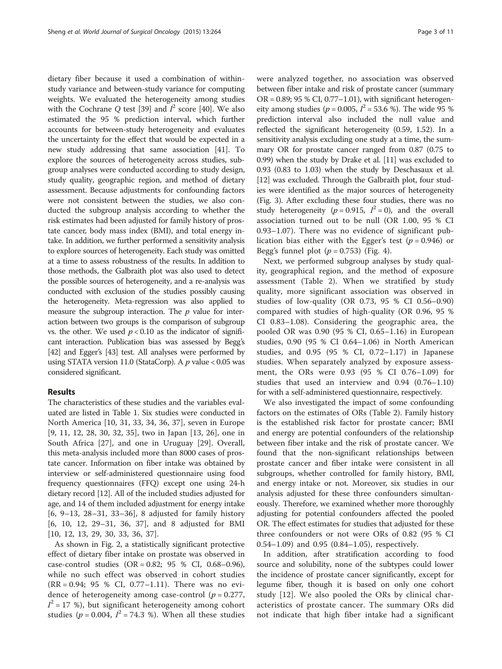dietary fiber because it used a combination of withinstudy variance and between-study variance for computing weights. We evaluated the heterogeneity among studies with the Cochrane Q test [\[39\]](#page-10-0) and  $I^2$  score [\[40\]](#page-10-0). We also estimated the 95 % prediction interval, which further accounts for between-study heterogeneity and evaluates the uncertainty for the effect that would be expected in a new study addressing that same association [[41\]](#page-10-0). To explore the sources of heterogeneity across studies, subgroup analyses were conducted according to study design, study quality, geographic region, and method of dietary assessment. Because adjustments for confounding factors were not consistent between the studies, we also conducted the subgroup analysis according to whether the risk estimates had been adjusted for family history of prostate cancer, body mass index (BMI), and total energy intake. In addition, we further performed a sensitivity analysis to explore sources of heterogeneity. Each study was omitted at a time to assess robustness of the results. In addition to those methods, the Galbraith plot was also used to detect the possible sources of heterogeneity, and a re-analysis was conducted with exclusion of the studies possibly causing the heterogeneity. Meta-regression was also applied to measure the subgroup interaction. The  $p$  value for interaction between two groups is the comparison of subgroup vs. the other. We used  $p < 0.10$  as the indicator of significant interaction. Publication bias was assessed by Begg's [[42](#page-10-0)] and Egger's [[43](#page-10-0)] test. All analyses were performed by using STATA version 11.0 (StataCorp). A  $p$  value < 0.05 was considered significant.

# Results

The characteristics of these studies and the variables evaluated are listed in Table [1](#page-3-0). Six studies were conducted in North America [[10,](#page-9-0) [31](#page-10-0), [33, 34](#page-10-0), [36, 37](#page-10-0)], seven in Europe [[9, 11, 12](#page-9-0), [28](#page-10-0), [30](#page-10-0), [32, 35\]](#page-10-0), two in Japan [[13,](#page-9-0) [26\]](#page-10-0), one in South Africa [[27\]](#page-10-0), and one in Uruguay [\[29\]](#page-10-0). Overall, this meta-analysis included more than 8000 cases of prostate cancer. Information on fiber intake was obtained by interview or self-administered questionnaire using food frequency questionnaires (FFQ) except one using 24-h dietary record [\[12\]](#page-9-0). All of the included studies adjusted for age, and 14 of them included adjustment for energy intake [[6, 9](#page-9-0)–[13,](#page-9-0) [28](#page-10-0)–[31](#page-10-0), [33](#page-10-0)–[36\]](#page-10-0), 8 adjusted for family history [[6, 10, 12,](#page-9-0) [29](#page-10-0)–[31, 36, 37\]](#page-10-0), and 8 adjusted for BMI [[10, 12](#page-9-0), [13](#page-9-0), [29](#page-10-0), [30, 33, 36, 37](#page-10-0)].

As shown in Fig. [2,](#page-6-0) a statistically significant protective effect of dietary fiber intake on prostate was observed in case-control studies (OR = 0.82; 95 % CI, 0.68–0.96), while no such effect was observed in cohort studies (RR = 0.94; 95 % CI, 0.77–1.11). There was no evidence of heterogeneity among case-control ( $p = 0.277$ ,  $I^2 = 17$  %), but significant heterogeneity among cohort studies ( $p = 0.004$ ,  $I^2 = 74.3$  %). When all these studies

were analyzed together, no association was observed between fiber intake and risk of prostate cancer (summary  $OR = 0.89$ ; 95 % CI, 0.77–1.01), with significant heterogeneity among studies ( $p = 0.005$ ,  $I^2 = 53.6$  %). The wide 95 % prediction interval also included the null value and reflected the significant heterogeneity (0.59, 1.52). In a sensitivity analysis excluding one study at a time, the summary OR for prostate cancer ranged from 0.87 (0.75 to 0.99) when the study by Drake et al. [\[11\]](#page-9-0) was excluded to 0.93 (0.83 to 1.03) when the study by Deschasaux et al. [[12](#page-9-0)] was excluded. Through the Galbraith plot, four studies were identified as the major sources of heterogeneity (Fig. [3\)](#page-6-0). After excluding these four studies, there was no study heterogeneity ( $p = 0.915$ ,  $I^2 = 0$ ), and the overall association turned out to be null (OR 1.00, 95 % CI 0.93–1.07). There was no evidence of significant publication bias either with the Egger's test ( $p = 0.946$ ) or Begg's funnel plot  $(p = 0.753)$  (Fig. [4\)](#page-7-0).

Next, we performed subgroup analyses by study quality, geographical region, and the method of exposure assessment (Table [2\)](#page-8-0). When we stratified by study quality, more significant association was observed in studies of low-quality (OR 0.73, 95 % CI 0.56–0.90) compared with studies of high-quality (OR 0.96, 95 % CI 0.83–1.08). Considering the geographic area, the pooled OR was 0.90 (95 % CI, 0.65–1.16) in European studies, 0.90 (95 % CI 0.64–1.06) in North American studies, and 0.95 (95 % CI, 0.72–1.17) in Japanese studies. When separately analyzed by exposure assessment, the ORs were 0.93 (95 % CI 0.76–1.09) for studies that used an interview and 0.94 (0.76–1.10) for with a self-administered questionnaire, respectively.

We also investigated the impact of some confounding factors on the estimates of ORs (Table [2\)](#page-8-0). Family history is the established risk factor for prostate cancer; BMI and energy are potential confounders of the relationship between fiber intake and the risk of prostate cancer. We found that the non-significant relationships between prostate cancer and fiber intake were consistent in all subgroups, whether controlled for family history, BMI, and energy intake or not. Moreover, six studies in our analysis adjusted for these three confounders simultaneously. Therefore, we examined whether more thoroughly adjusting for potential confounders affected the pooled OR. The effect estimates for studies that adjusted for these three confounders or not were ORs of 0.82 (95 % CI 0.54–1.09) and 0.95 (0.84–1.05), respectively.

In addition, after stratification according to food source and solubility, none of the subtypes could lower the incidence of prostate cancer significantly, except for legume fiber, though it is based on only one cohort study [[12](#page-9-0)]. We also pooled the ORs by clinical characteristics of prostate cancer. The summary ORs did not indicate that high fiber intake had a significant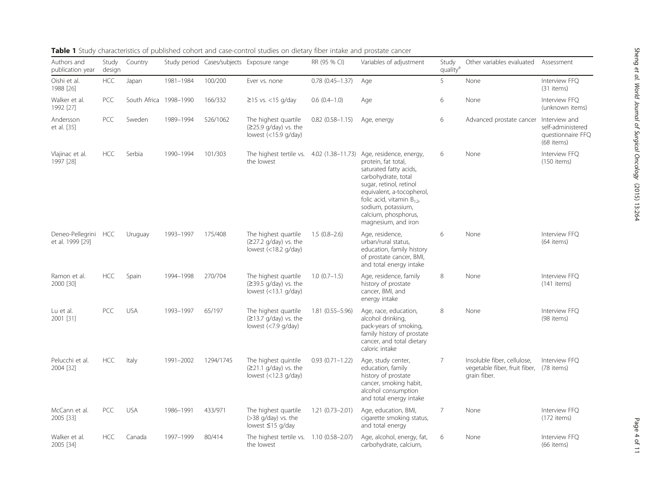| Authors and<br>publication year          | Study<br>design | Country                |           |           | Study period Cases/subjects Exposure range                                        | RR (95 % CI)           | Variables of adjustment                                                                                                                                                                                                                                                                                  | Study<br>quality <sup>a</sup> | Other variables evaluated                                                               | Assessment                                                            |
|------------------------------------------|-----------------|------------------------|-----------|-----------|-----------------------------------------------------------------------------------|------------------------|----------------------------------------------------------------------------------------------------------------------------------------------------------------------------------------------------------------------------------------------------------------------------------------------------------|-------------------------------|-----------------------------------------------------------------------------------------|-----------------------------------------------------------------------|
| Oishi et al.<br>1988 [26]                | HCC             | Japan                  | 1981-1984 | 100/200   | Ever vs. none                                                                     | $0.78(0.45 - 1.37)$    | Age                                                                                                                                                                                                                                                                                                      | 5                             | None                                                                                    | Interview FFO<br>(31 items)                                           |
| Walker et al.<br>1992 [27]               | PCC             | South Africa 1998-1990 |           | 166/332   | $\geq$ 15 vs. <15 g/day                                                           | $0.6(0.4-1.0)$         | Age                                                                                                                                                                                                                                                                                                      | 6                             | None                                                                                    | Interview FFQ<br>(unknown items)                                      |
| Andersson<br>et al. [35]                 | <b>PCC</b>      | Sweden                 | 1989-1994 | 526/1062  | The highest quartile<br>$(225.9 \text{ q/day})$ vs. the<br>lowest $(<15.9$ g/day) | $0.82$ $(0.58 - 1.15)$ | Age, energy                                                                                                                                                                                                                                                                                              | 6                             | Advanced prostate cancer                                                                | Interview and<br>self-administered<br>questionnaire FFC<br>(68 items) |
| Vlajinac et al.<br>1997 [28]             | <b>HCC</b>      | Serbia                 | 1990-1994 | 101/303   | the lowest                                                                        |                        | The highest tertile vs. 4.02 (1.38-11.73) Age, residence, energy,<br>protein, fat total,<br>saturated fatty acids,<br>carbohydrate, total<br>sugar, retinol, retinol<br>equivalent, a-tocopherol,<br>folic acid, vitamin $B_{12}$ ,<br>sodium, potassium,<br>calcium, phosphorus,<br>magnesium, and iron | 6                             | None                                                                                    | Interview FFQ<br>$(150$ items)                                        |
| Deneo-Pellegrini HCC<br>et al. 1999 [29] |                 | Uruguay                | 1993-1997 | 175/408   | The highest quartile<br>(≥27.2 g/day) vs. the<br>lowest $(<18.2$ g/day)           | $1.5(0.8-2.6)$         | Age, residence,<br>urban/rural status,<br>education, family history<br>of prostate cancer, BMI,<br>and total energy intake                                                                                                                                                                               | 6                             | None                                                                                    | Interview FFO<br>(64 items)                                           |
| Ramon et al.<br>2000 [30]                | <b>HCC</b>      | Spain                  | 1994-1998 | 270/704   | The highest quartile<br>$(≥39.5 g/day)$ vs. the<br>lowest $(<13.1$ g/day)         | $1.0(0.7-1.5)$         | Age, residence, family<br>history of prostate<br>cancer, BMI, and<br>energy intake                                                                                                                                                                                                                       | 8                             | None                                                                                    | Interview FFO<br>$(141$ items)                                        |
| Lu et al.<br>2001 [31]                   | <b>PCC</b>      | <b>USA</b>             | 1993-1997 | 65/197    | The highest quartile<br>(≥13.7 g/day) vs. the<br>lowest $(<7.9$ g/day)            | $1.81(0.55 - 5.96)$    | Age, race, education,<br>alcohol drinking,<br>pack-years of smoking,<br>family history of prostate<br>cancer, and total dietary<br>caloric intake                                                                                                                                                        | 8                             | None                                                                                    | Interview FFO<br>(98 items)                                           |
| Pelucchi et al.<br>2004 [32]             | <b>HCC</b>      | Italy                  | 1991-2002 | 1294/1745 | The highest quintile<br>$(221.1 g/day)$ vs. the<br>lowest $($ < 12.3 g/day)       | $0.93(0.71 - 1.22)$    | Age, study center,<br>education, family<br>history of prostate<br>cancer, smoking habit,<br>alcohol consumption<br>and total energy intake                                                                                                                                                               | 7                             | Insoluble fiber, cellulose,<br>vegetable fiber, fruit fiber, (78 items)<br>grain fiber. | Interview FFO                                                         |
| McCann et al.<br>2005 [33]               | <b>PCC</b>      | <b>USA</b>             | 1986-1991 | 433/971   | The highest quartile<br>$($ >38 g/day) vs. the<br>lowest ≤15 g/day                | $1.21(0.73 - 2.01)$    | Age, education, BMI,<br>cigarette smoking status,<br>and total energy                                                                                                                                                                                                                                    | $\overline{7}$                | None                                                                                    | Interview FFQ<br>$(172$ items)                                        |
| Walker et al.<br>2005 [34]               | <b>HCC</b>      | Canada                 | 1997-1999 | 80/414    | The highest tertile vs. 1.10 (0.58-2.07)<br>the lowest                            |                        | Age, alcohol, energy, fat,<br>carbohydrate, calcium,                                                                                                                                                                                                                                                     | 6                             | None                                                                                    | Interview FFQ<br>$(66$ items)                                         |

# <span id="page-3-0"></span>Table 1 Study characteristics of published cohort and case-control studies on dietary fiber intake and prostate cancer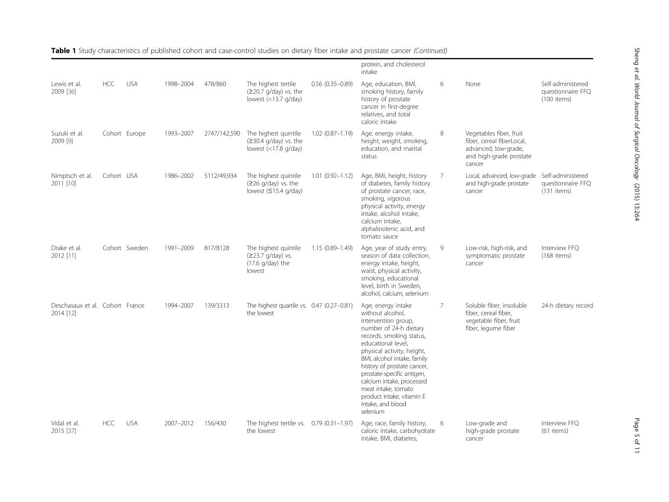Sheng

et al. World

Journal of Surgical Oncology

(2015) 13:264

|                                              |            |               |           |              |                                                                                   |                     | protein, and cholesterol<br>intake                                                                                                                                                                                                                                                                                                                                                    |   |                                                                                                                   |                                                         |
|----------------------------------------------|------------|---------------|-----------|--------------|-----------------------------------------------------------------------------------|---------------------|---------------------------------------------------------------------------------------------------------------------------------------------------------------------------------------------------------------------------------------------------------------------------------------------------------------------------------------------------------------------------------------|---|-------------------------------------------------------------------------------------------------------------------|---------------------------------------------------------|
| Lewis et al.<br>2009 [36]                    | <b>HCC</b> | <b>USA</b>    | 1998-2004 | 478/860      | The highest tertile<br>(≥20.7 q/day) vs. the<br>lowest (<13.7 g/day)              | $0.56(0.35 - 0.89)$ | Age, education, BMI,<br>smoking history, family<br>history of prostate<br>cancer in first-degree<br>relatives, and total<br>caloric intake                                                                                                                                                                                                                                            | 6 | None                                                                                                              | Self-administered<br>questionnaire FFQ<br>(100 items)   |
| Suzuki et al.<br>2009 [9]                    |            | Cohort Europe | 1993-2007 | 2747/142,590 | The highest quintile<br>(≥30.4 g/day) vs. the<br>lowest $(<17.8$ g/day)           | $1.02(0.87 - 1.19)$ | Age, energy intake,<br>height, weight, smoking,<br>education, and marital<br>status                                                                                                                                                                                                                                                                                                   | 8 | Vegetables fiber, fruit<br>fiber, cereal fiberLocal,<br>advanced, low-grade,<br>and high-grade prostate<br>cancer |                                                         |
| Nimptsch et al.<br>2011 [10]                 | Cohort USA |               | 1986-2002 | 5112/49,934  | The highest quintile<br>$(≥26 g/day)$ vs. the<br>lowest $(≤15.4 g/day)$           | $1.01(0.92 - 1.12)$ | Age, BMI, height, history<br>of diabetes, family history<br>of prostate cancer, race,<br>smoking, vigorous<br>physical activity, energy<br>intake, alcohol intake,<br>calcium intake,<br>alphalinolenic acid, and<br>tomato sauce                                                                                                                                                     | 7 | Local, advanced, low-grade<br>and high-grade prostate<br>cancer                                                   | Self-administered<br>questionnaire FFQ<br>$(131$ items) |
| Drake et al.<br>2012 [11]                    |            | Cohort Sweden | 1991-2009 | 817/8128     | The highest quintile<br>(≥23.7 g/day) vs.<br>$(17.6 \text{ g/day})$ the<br>lowest | $1.15(0.89 - 1.49)$ | Age, year of study entry,<br>season of data collection,<br>energy intake, height,<br>waist, physical activity,<br>smoking, educational<br>level, birth in Sweden,<br>alcohol, calcium, selenium                                                                                                                                                                                       | 9 | Low-risk, high-risk, and<br>symptomatic prostate<br>cancer                                                        | Interview FFQ<br>$(168$ items)                          |
| Deschasaux et al. Cohort France<br>2014 [12] |            |               | 1994-2007 | 139/3313     | The highest quartile vs. 0.47 (0.27-0.81)<br>the lowest                           |                     | Age, energy intake<br>without alcohol,<br>intervention group,<br>number of 24-h dietary<br>records, smoking status,<br>educational level,<br>physical activity, height,<br>BMI, alcohol intake, family<br>history of prostate cancer,<br>prostate-specific antigen,<br>calcium intake, processed<br>meat intake, tomato<br>product intake, vitamin E<br>intake, and blood<br>selenium | 7 | Soluble fiber, insoluble<br>fiber, cereal fiber,<br>vegetable fiber, fruit<br>fiber, legume fiber                 | 24-h dietary record                                     |
| Vidal et al.<br>2015 [37]                    | <b>HCC</b> | <b>USA</b>    | 2007-2012 | 156/430      | The highest tertile vs. 0.79 (0.31-1.97)<br>the lowest                            |                     | Age, race, family history,<br>caloric intake, carbohydrate<br>intake, BMI, diabetes,                                                                                                                                                                                                                                                                                                  | 6 | Low-grade and<br>high-grade prostate<br>cancer                                                                    | Interview FFQ<br>$(61$ items)                           |

Table 1 Study characteristics of published cohort and case-control studies on dietary fiber intake and prostate cancer (Continued)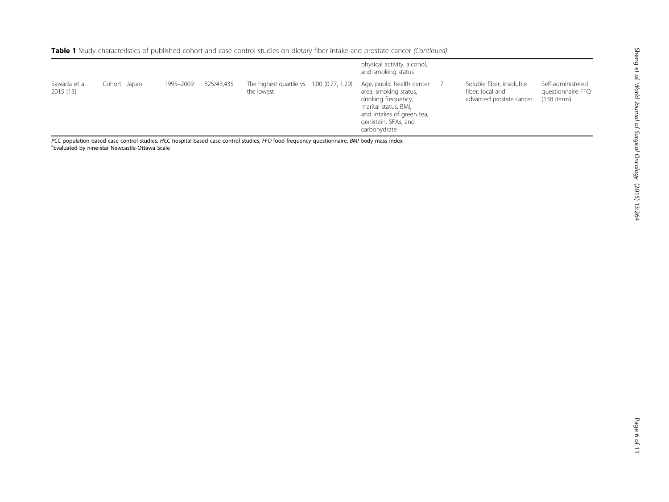|                            |              |           |            |                                                          | physical activity, alcohol,<br>and smoking status                                                                                                                      |                                                                          |                                                       |
|----------------------------|--------------|-----------|------------|----------------------------------------------------------|------------------------------------------------------------------------------------------------------------------------------------------------------------------------|--------------------------------------------------------------------------|-------------------------------------------------------|
| Sawada et al.<br>2015 [13] | Cohort Japan | 1995-2009 | 825/43,435 | The highest quartile vs. 1.00 (0.77, 1.29)<br>the lowest | Age, public health center<br>area, smoking status,<br>drinking frequency,<br>marital status, BMI,<br>and intakes of green tea,<br>genistein, SFAs, and<br>carbohydrate | Soluble fiber, insoluble<br>fiber, local and<br>advanced prostate cancer | Self-administered<br>questionnaire FFQ<br>(138 items) |

PCC population-based case-control studies, HCC hospital-based case-control studies, FFQ food-frequency questionnaire, BMI body mass index Evaluated by nine-star Newcastle-Ottawa Scale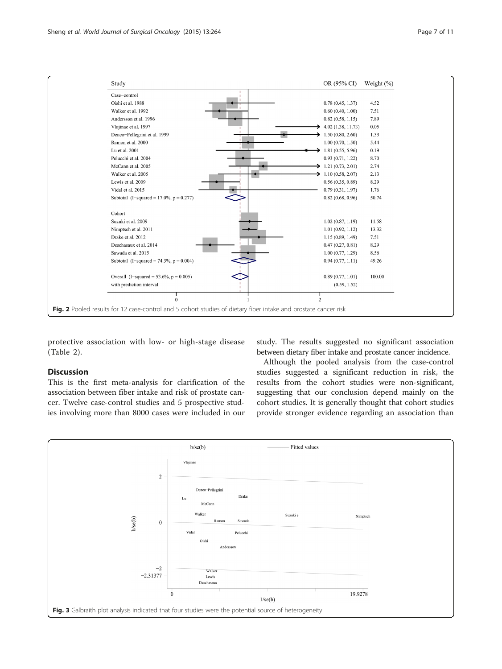<span id="page-6-0"></span>

protective association with low- or high-stage disease (Table [2\)](#page-8-0).

## **Discussion**

This is the first meta-analysis for clarification of the association between fiber intake and risk of prostate cancer. Twelve case-control studies and 5 prospective studies involving more than 8000 cases were included in our

study. The results suggested no significant association between dietary fiber intake and prostate cancer incidence.

Although the pooled analysis from the case-control studies suggested a significant reduction in risk, the results from the cohort studies were non-significant, suggesting that our conclusion depend mainly on the cohort studies. It is generally thought that cohort studies provide stronger evidence regarding an association than

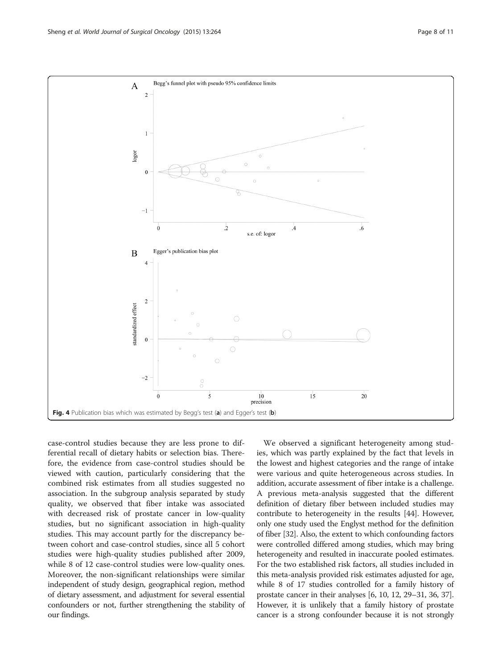<span id="page-7-0"></span>

case-control studies because they are less prone to differential recall of dietary habits or selection bias. Therefore, the evidence from case-control studies should be viewed with caution, particularly considering that the combined risk estimates from all studies suggested no association. In the subgroup analysis separated by study quality, we observed that fiber intake was associated with decreased risk of prostate cancer in low-quality studies, but no significant association in high-quality studies. This may account partly for the discrepancy between cohort and case-control studies, since all 5 cohort studies were high-quality studies published after 2009, while 8 of 12 case-control studies were low-quality ones. Moreover, the non-significant relationships were similar independent of study design, geographical region, method of dietary assessment, and adjustment for several essential confounders or not, further strengthening the stability of our findings.

We observed a significant heterogeneity among studies, which was partly explained by the fact that levels in the lowest and highest categories and the range of intake were various and quite heterogeneous across studies. In addition, accurate assessment of fiber intake is a challenge. A previous meta-analysis suggested that the different definition of dietary fiber between included studies may contribute to heterogeneity in the results [\[44\]](#page-10-0). However, only one study used the Englyst method for the definition of fiber [[32](#page-10-0)]. Also, the extent to which confounding factors were controlled differed among studies, which may bring heterogeneity and resulted in inaccurate pooled estimates. For the two established risk factors, all studies included in this meta-analysis provided risk estimates adjusted for age, while 8 of 17 studies controlled for a family history of prostate cancer in their analyses [[6, 10](#page-9-0), [12,](#page-9-0) [29](#page-10-0)–[31](#page-10-0), [36, 37](#page-10-0)]. However, it is unlikely that a family history of prostate cancer is a strong confounder because it is not strongly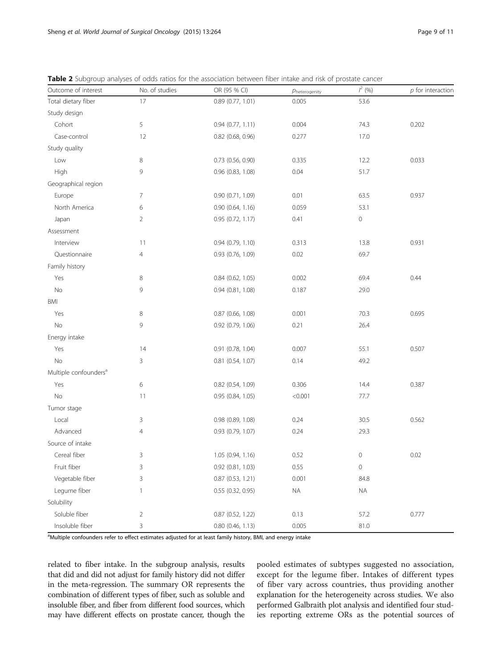| Outcome of interest               | No. of studies | OR (95 % CI)          | $\rho_{\text{heterogeneity}}$ | $1^2$ (%)           | $p$ for interaction |
|-----------------------------------|----------------|-----------------------|-------------------------------|---------------------|---------------------|
| Total dietary fiber               | 17             | 0.89 (0.77, 1.01)     | 0.005                         | 53.6                |                     |
| Study design                      |                |                       |                               |                     |                     |
| Cohort                            | 5              | 0.94(0.77, 1.11)      | 0.004                         | 74.3                | 0.202               |
| Case-control                      | 12             | 0.82 (0.68, 0.96)     | 0.277                         | 17.0                |                     |
| Study quality                     |                |                       |                               |                     |                     |
| Low                               | 8              | $0.73$ (0.56, 0.90)   | 0.335                         | 12.2                | 0.033               |
| High                              | 9              | 0.96 (0.83, 1.08)     | 0.04                          | 51.7                |                     |
| Geographical region               |                |                       |                               |                     |                     |
| Europe                            | 7              | 0.90(0.71, 1.09)      | 0.01                          | 63.5                | 0.937               |
| North America                     | 6              | 0.90(0.64, 1.16)      | 0.059                         | 53.1                |                     |
| Japan                             | $\overline{2}$ | 0.95 (0.72, 1.17)     | 0.41                          | $\mathbf 0$         |                     |
| Assessment                        |                |                       |                               |                     |                     |
| Interview                         | 11             | $0.94$ $(0.79, 1.10)$ | 0.313                         | 13.8                | 0.931               |
| Questionnaire                     | $\overline{4}$ | 0.93(0.76, 1.09)      | 0.02                          | 69.7                |                     |
| Family history                    |                |                       |                               |                     |                     |
| Yes                               | 8              | $0.84$ $(0.62, 1.05)$ | 0.002                         | 69.4                | 0.44                |
| No                                | 9              | 0.94(0.81, 1.08)      | 0.187                         | 29.0                |                     |
| <b>BMI</b>                        |                |                       |                               |                     |                     |
| Yes                               | 8              | 0.87 (0.66, 1.08)     | 0.001                         | 70.3                | 0.695               |
| $\rm No$                          | 9              | $0.92$ (0.79, 1.06)   | 0.21                          | 26.4                |                     |
| Energy intake                     |                |                       |                               |                     |                     |
| Yes                               | 14             | 0.91 (0.78, 1.04)     | 0.007                         | 55.1                | 0.507               |
| <b>No</b>                         | 3              | 0.81 (0.54, 1.07)     | 0.14                          | 49.2                |                     |
| Multiple confounders <sup>a</sup> |                |                       |                               |                     |                     |
| Yes                               | 6              | 0.82 (0.54, 1.09)     | 0.306                         | 14.4                | 0.387               |
| $\rm No$                          | 11             | 0.95(0.84, 1.05)      | < 0.001                       | 77.7                |                     |
| Tumor stage                       |                |                       |                               |                     |                     |
| Local                             | 3              | 0.98 (0.89, 1.08)     | 0.24                          | 30.5                | 0.562               |
| Advanced                          | 4              | 0.93 (0.79, 1.07)     | 0.24                          | 29.3                |                     |
| Source of intake                  |                |                       |                               |                     |                     |
| Cereal fiber                      | 3              | 1.05 (0.94, 1.16)     | 0.52                          | $\mathsf{O}\xspace$ | 0.02                |
| Fruit fiber                       | 3              | 0.92 (0.81, 1.03)     | 0.55                          | $\mathsf{O}\xspace$ |                     |
| Vegetable fiber                   | 3              | 0.87 (0.53, 1.21)     | 0.001                         | 84.8                |                     |
| Legume fiber                      | $\mathbf{1}$   | 0.55 (0.32, 0.95)     | <b>NA</b>                     | $\sf NA$            |                     |
| Solubility                        |                |                       |                               |                     |                     |
| Soluble fiber                     | $\overline{2}$ | 0.87 (0.52, 1.22)     | 0.13                          | 57.2                | 0.777               |
| Insoluble fiber                   | 3              | $0.80$ (0.46, 1.13)   | 0.005                         | 81.0                |                     |

<span id="page-8-0"></span>Table 2 Subgroup analyses of odds ratios for the association between fiber intake and risk of prostate cancer

<sup>a</sup>Multiple confounders refer to effect estimates adjusted for at least family history, BMI, and energy intake

related to fiber intake. In the subgroup analysis, results that did and did not adjust for family history did not differ in the meta-regression. The summary OR represents the combination of different types of fiber, such as soluble and insoluble fiber, and fiber from different food sources, which may have different effects on prostate cancer, though the pooled estimates of subtypes suggested no association, except for the legume fiber. Intakes of different types of fiber vary across countries, thus providing another explanation for the heterogeneity across studies. We also performed Galbraith plot analysis and identified four studies reporting extreme ORs as the potential sources of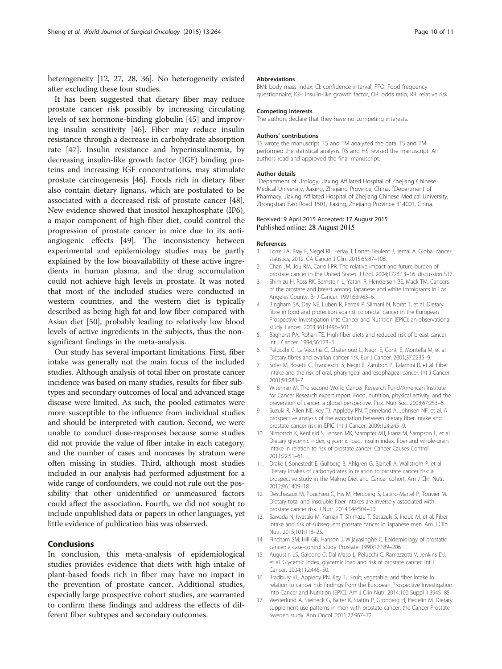<span id="page-9-0"></span>heterogeneity [12, [27](#page-10-0), [28, 36](#page-10-0)]. No heterogeneity existed after excluding these four studies.

It has been suggested that dietary fiber may reduce prostate cancer risk possibly by increasing circulating levels of sex hormone-binding globulin [[45](#page-10-0)] and improving insulin sensitivity [[46](#page-10-0)]. Fiber may reduce insulin resistance through a decrease in carbohydrate absorption rate [\[47](#page-10-0)]. Insulin resistance and hyperinsulinemia, by decreasing insulin-like growth factor (IGF) binding proteins and increasing IGF concentrations, may stimulate prostate carcinogenesis [\[46\]](#page-10-0). Foods rich in dietary fiber also contain dietary lignans, which are postulated to be associated with a decreased risk of prostate cancer [\[48](#page-10-0)]. New evidence showed that inositol hexaphosphate (IP6), a major component of high-fiber diet, could control the progression of prostate cancer in mice due to its antiangiogenic effects [\[49\]](#page-10-0). The inconsistency between experimental and epidemiology studies may be partly explained by the low bioavailability of these active ingredients in human plasma, and the drug accumulation could not achieve high levels in prostate. It was noted that most of the included studies were conducted in western countries, and the western diet is typically described as being high fat and low fiber compared with Asian diet [[50\]](#page-10-0), probably leading to relatively low blood levels of active ingredients in the subjects, thus the nonsignificant findings in the meta-analysis.

Our study has several important limitations. First, fiber intake was generally not the main focus of the included studies. Although analysis of total fiber on prostate cancer incidence was based on many studies, results for fiber subtypes and secondary outcomes of local and advanced stage disease were limited. As such, the pooled estimates were more susceptible to the influence from individual studies and should be interpreted with caution. Second, we were unable to conduct dose-responses because some studies did not provide the value of fiber intake in each category, and the number of cases and noncases by stratum were often missing in studies. Third, although most studies included in our analysis had performed adjustment for a wide range of confounders, we could not rule out the possibility that other unidentified or unmeasured factors could affect the association. Fourth, we did not sought to include unpublished data or papers in other languages, yet little evidence of publication bias was observed.

# Conclusions

In conclusion, this meta-analysis of epidemiological studies provides evidence that diets with high intake of plant-based foods rich in fiber may have no impact in the prevention of prostate cancer. Additional studies, especially large prospective cohort studies, are warranted to confirm these findings and address the effects of different fiber subtypes and secondary outcomes.

### Abbreviations

BMI: body mass index; CI: confidence interval; FFQ: Food frequency questionnaire; IGF: insulin-like growth factor; OR: odds ratio; RR: relative risk.

## Competing interests

The authors declare that they have no competing interests.

#### Authors' contributions

TS wrote the manuscript. TS and TM analyzed the data. TS and TM performed the statistical analysis. RS and HS revised the manuscript. All authors read and approved the final manuscript.

### Author details

<sup>1</sup>Department of Urology, Jiaxing Affilated Hospital of Zhejiang Chinese Medical University, Jiaxing, Zhejiang Province, China. <sup>2</sup>Department of Pharmacy, Jiaxing Affilated Hospital of Zhejiang Chinese Medical University, Zhongshan East Road 1501, Jiaxing, Zhejiang Province 314001, China.

## Received: 9 April 2015 Accepted: 17 August 2015 Published online: 28 August 2015

#### References

- 1. Torre LA, Bray F, Siegel RL, Ferlay J, Lortet-Tieulent J, Jemal A. Global cancer statistics, 2012. CA Cancer J Clin. 2015;65:87–108.
- 2. Chan JM, Jou RM, Carroll PR. The relative impact and future burden of prostate cancer in the United States. J Urol. 2004;172:S13–16. discussion S17.
- 3. Shimizu H, Ross RK, Bernstein L, Yatani R, Henderson BE, Mack TM. Cancers of the prostate and breast among Japanese and white immigrants in Los Angeles County. Br J Cancer. 1991;63:963–6.
- 4. Bingham SA, Day NE, Luben R, Ferrari P, Slimani N, Norat T, et al. Dietary fibre in food and protection against colorectal cancer in the European Prospective Investigation into Cancer and Nutrition (EPIC): an observational study. Lancet. 2003;361:1496–501.
- 5. Baghurst PA, Rohan TE. High-fiber diets and reduced risk of breast cancer. Int J Cancer. 1994;56:173–6.
- 6. Pelucchi C, La Vecchia C, Chatenoud L, Negri E, Conti E, Montella M, et al. Dietary fibres and ovarian cancer risk. Eur J Cancer. 2001;37:2235–9.
- 7. Soler M, Bosetti C, Franceschi S, Negri E, Zambon P, Talamini R, et al. Fiber intake and the risk of oral, pharyngeal and esophageal cancer. Int J Cancer. 2001;91:283–7.
- 8. Wiseman M. The second World Cancer Research Fund/American Institute for Cancer Research expert report. Food, nutrition, physical activity, and the prevention of cancer: a global perspective. Proc Nutr Soc. 2008;67:253–6.
- 9. Suzuki R, Allen NE, Key TJ, Appleby PN, Tjonneland A, Johnsen NF, et al. A prospective analysis of the association between dietary fiber intake and prostate cancer risk in EPIC. Int J Cancer. 2009;124:245–9.
- 10. Nimptsch K, Kenfield S, Jensen MK, Stampfer MJ, Franz M, Sampson L, et al. Dietary glycemic index, glycemic load, insulin index, fiber and whole-grain intake in relation to risk of prostate cancer. Cancer Causes Control. 2011;22:51–61.
- 11. Drake I, Sonestedt E, Gullberg B, Ahlgren G, Bjartell A, Wallstrom P, et al. Dietary intakes of carbohydrates in relation to prostate cancer risk: a prospective study in the Malmo Diet and Cancer cohort. Am J Clin Nutr. 2012;96:1409–18.
- 12. Deschasaux M, Pouchieu C, His M, Hercberg S, Latino-Martel P, Touvier M. Dietary total and insoluble fiber intakes are inversely associated with prostate cancer risk. J Nutr. 2014;144:504–10.
- 13. Sawada N, Iwasaki M, Yamaji T, Shimazu T, Sasazuki S, Inoue M, et al. Fiber intake and risk of subsequent prostate cancer in Japanese men. Am J Clin Nutr. 2015;101:118–25.
- 14. Fincham SM, Hill GB, Hanson J, Wijayasinghe C. Epidemiology of prostatic cancer: a case-control study. Prostate. 1990;17:189–206.
- 15. Augustin LS, Galeone C, Dal Maso L, Pelucchi C, Ramazzotti V, Jenkins DJ, et al. Glycemic index, glycemic load and risk of prostate cancer. Int J Cancer. 2004;112:446–50.
- 16. Bradbury KE, Appleby PN, Key TJ. Fruit, vegetable, and fiber intake in relation to cancer risk: findings from the European Prospective Investigation into Cancer and Nutrition (EPIC). Am J Clin Nutr. 2014;100 Suppl 1:394S–8S.
- 17. Westerlund A, Steineck G, Balter K, Stattin P, Gronberg H, Hedelin M. Dietary supplement use patterns in men with prostate cancer: the Cancer Prostate Sweden study. Ann Oncol. 2011;22:967–72.